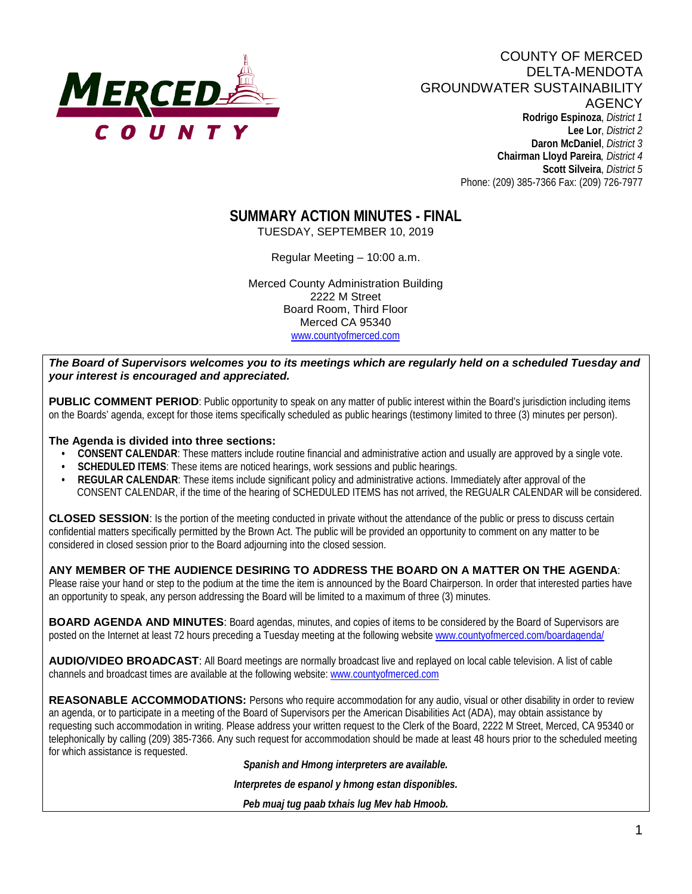

COUNTY OF MERCED DELTA-MENDOTA GROUNDWATER SUSTAINABILITY **AGENCY Rodrigo Espinoza**, *District 1*  **Lee Lor**, *District 2*  **Daron McDaniel**, *District 3* **Chairman Lloyd Pareira***, District 4*  **Scott Silveira**, *District 5* Phone: (209) 385-7366 Fax: (209) 726-7977

# **SUMMARY ACTION MINUTES - FINAL**

TUESDAY, SEPTEMBER 10, 2019

Regular Meeting – 10:00 a.m.

Merced County Administration Building 2222 M Street Board Room, Third Floor Merced CA 95340 www.countyofmerced.com

*The Board of Supervisors welcomes you to its meetings which are regularly held on a scheduled Tuesday and your interest is encouraged and appreciated.*

**PUBLIC COMMENT PERIOD:** Public opportunity to speak on any matter of public interest within the Board's jurisdiction including items on the Boards' agenda, except for those items specifically scheduled as public hearings (testimony limited to three (3) minutes per person).

#### **The Agenda is divided into three sections:**

- **CONSENT CALENDAR**: These matters include routine financial and administrative action and usually are approved by a single vote.
- **SCHEDULED ITEMS:** These items are noticed hearings, work sessions and public hearings.
- **REGULAR CALENDAR:** These items include significant policy and administrative actions. Immediately after approval of the CONSENT CALENDAR, if the time of the hearing of SCHEDULED ITEMS has not arrived, the REGUALR CALENDAR will be considered.

**CLOSED SESSION**: Is the portion of the meeting conducted in private without the attendance of the public or press to discuss certain confidential matters specifically permitted by the Brown Act. The public will be provided an opportunity to comment on any matter to be considered in closed session prior to the Board adjourning into the closed session.

#### **ANY MEMBER OF THE AUDIENCE DESIRING TO ADDRESS THE BOARD ON A MATTER ON THE AGENDA**:

Please raise your hand or step to the podium at the time the item is announced by the Board Chairperson. In order that interested parties have an opportunity to speak, any person addressing the Board will be limited to a maximum of three (3) minutes.

**BOARD AGENDA AND MINUTES:** Board agendas, minutes, and copies of items to be considered by the Board of Supervisors are posted on the Internet at least 72 hours preceding a Tuesday meeting at the following website [www.countyofmerced.com/boardagenda/](http://www.countyofmerced.com/boardagenda/) 

**AUDIO/VIDEO BROADCAST**: All Board meetings are normally broadcast live and replayed on local cable television. A list of cable channels and broadcast times are available at the following website[: www.countyofmerced.com](http://www.countyofmerced.com/)

**REASONABLE ACCOMMODATIONS:** Persons who require accommodation for any audio, visual or other disability in order to review an agenda, or to participate in a meeting of the Board of Supervisors per the American Disabilities Act (ADA), may obtain assistance by requesting such accommodation in writing. Please address your written request to the Clerk of the Board, 2222 M Street, Merced, CA 95340 or telephonically by calling (209) 385-7366. Any such request for accommodation should be made at least 48 hours prior to the scheduled meeting for which assistance is requested.

*Spanish and Hmong interpreters are available.*

*Interpretes de espanol y hmong estan disponibles.*

*Peb muaj tug paab txhais lug Mev hab Hmoob.*